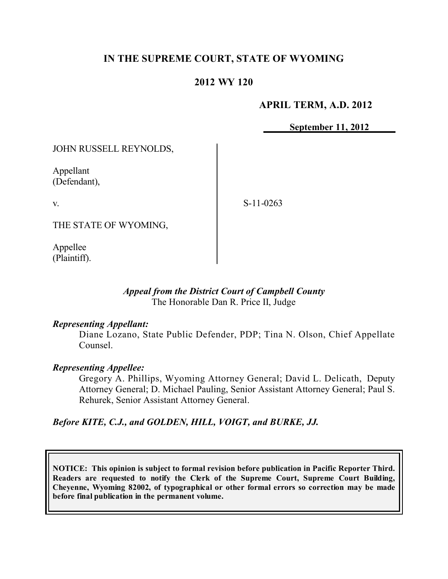# **IN THE SUPREME COURT, STATE OF WYOMING**

# **2012 WY 120**

### **APRIL TERM, A.D. 2012**

**September 11, 2012**

JOHN RUSSELL REYNOLDS,

Appellant (Defendant),

v.

S-11-0263

THE STATE OF WYOMING,

Appellee (Plaintiff).

#### *Appeal from the District Court of Campbell County* The Honorable Dan R. Price II, Judge

#### *Representing Appellant:*

Diane Lozano, State Public Defender, PDP; Tina N. Olson, Chief Appellate Counsel.

#### *Representing Appellee:*

Gregory A. Phillips, Wyoming Attorney General; David L. Delicath, Deputy Attorney General; D. Michael Pauling, Senior Assistant Attorney General; Paul S. Rehurek, Senior Assistant Attorney General.

*Before KITE, C.J., and GOLDEN, HILL, VOIGT, and BURKE, JJ.*

**NOTICE: This opinion is subject to formal revision before publication in Pacific Reporter Third. Readers are requested to notify the Clerk of the Supreme Court, Supreme Court Building, Cheyenne, Wyoming 82002, of typographical or other formal errors so correction may be made before final publication in the permanent volume.**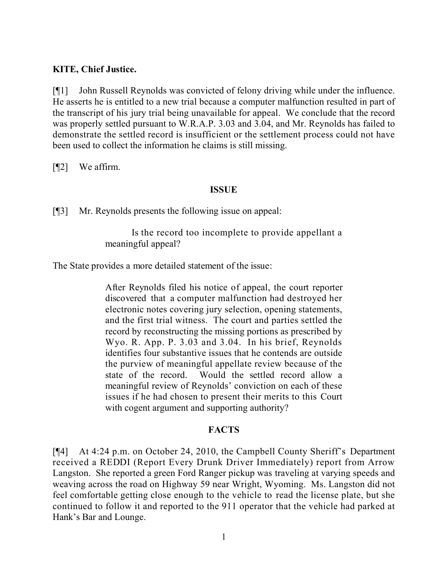### **KITE, Chief Justice.**

[¶1] John Russell Reynolds was convicted of felony driving while under the influence. He asserts he is entitled to a new trial because a computer malfunction resulted in part of the transcript of his jury trial being unavailable for appeal. We conclude that the record was properly settled pursuant to W.R.A.P. 3.03 and 3.04, and Mr. Reynolds has failed to demonstrate the settled record is insufficient or the settlement process could not have been used to collect the information he claims is still missing.

[¶2] We affirm.

#### **ISSUE**

[¶3] Mr. Reynolds presents the following issue on appeal:

Is the record too incomplete to provide appellant a meaningful appeal?

The State provides a more detailed statement of the issue:

After Reynolds filed his notice of appeal, the court reporter discovered that a computer malfunction had destroyed her electronic notes covering jury selection, opening statements, and the first trial witness. The court and parties settled the record by reconstructing the missing portions as prescribed by Wyo. R. App. P. 3.03 and 3.04. In his brief, Reynolds identifies four substantive issues that he contends are outside the purview of meaningful appellate review because of the state of the record. Would the settled record allow a meaningful review of Reynolds' conviction on each of these issues if he had chosen to present their merits to this Court with cogent argument and supporting authority?

# **FACTS**

[¶4] At 4:24 p.m. on October 24, 2010, the Campbell County Sheriff's Department received a REDDI (Report Every Drunk Driver Immediately) report from Arrow Langston. She reported a green Ford Ranger pickup was traveling at varying speeds and weaving across the road on Highway 59 near Wright, Wyoming. Ms. Langston did not feel comfortable getting close enough to the vehicle to read the license plate, but she continued to follow it and reported to the 911 operator that the vehicle had parked at Hank's Bar and Lounge.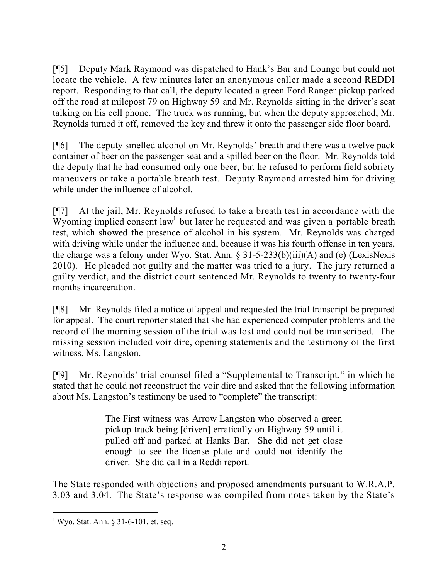[¶5] Deputy Mark Raymond was dispatched to Hank's Bar and Lounge but could not locate the vehicle. A few minutes later an anonymous caller made a second REDDI report. Responding to that call, the deputy located a green Ford Ranger pickup parked off the road at milepost 79 on Highway 59 and Mr. Reynolds sitting in the driver's seat talking on his cell phone. The truck was running, but when the deputy approached, Mr. Reynolds turned it off, removed the key and threw it onto the passenger side floor board.

[¶6] The deputy smelled alcohol on Mr. Reynolds' breath and there was a twelve pack container of beer on the passenger seat and a spilled beer on the floor. Mr. Reynolds told the deputy that he had consumed only one beer, but he refused to perform field sobriety maneuvers or take a portable breath test. Deputy Raymond arrested him for driving while under the influence of alcohol.

[¶7] At the jail, Mr. Reynolds refused to take a breath test in accordance with the Wyoming implied consent law<sup>1</sup> but later he requested and was given a portable breath test, which showed the presence of alcohol in his system. Mr. Reynolds was charged with driving while under the influence and, because it was his fourth offense in ten years, the charge was a felony under Wyo. Stat. Ann.  $\S 31-5-233(b)(iii)(A)$  and (e) (LexisNexis 2010). He pleaded not guilty and the matter was tried to a jury. The jury returned a guilty verdict, and the district court sentenced Mr. Reynolds to twenty to twenty-four months incarceration.

[¶8] Mr. Reynolds filed a notice of appeal and requested the trial transcript be prepared for appeal. The court reporter stated that she had experienced computer problems and the record of the morning session of the trial was lost and could not be transcribed. The missing session included voir dire, opening statements and the testimony of the first witness, Ms. Langston.

[¶9] Mr. Reynolds' trial counsel filed a "Supplemental to Transcript," in which he stated that he could not reconstruct the voir dire and asked that the following information about Ms. Langston's testimony be used to "complete" the transcript:

> The First witness was Arrow Langston who observed a green pickup truck being [driven] erratically on Highway 59 until it pulled off and parked at Hanks Bar. She did not get close enough to see the license plate and could not identify the driver. She did call in a Reddi report.

The State responded with objections and proposed amendments pursuant to W.R.A.P. 3.03 and 3.04. The State's response was compiled from notes taken by the State's

<sup>1</sup> Wyo. Stat. Ann. § 31-6-101, et. seq.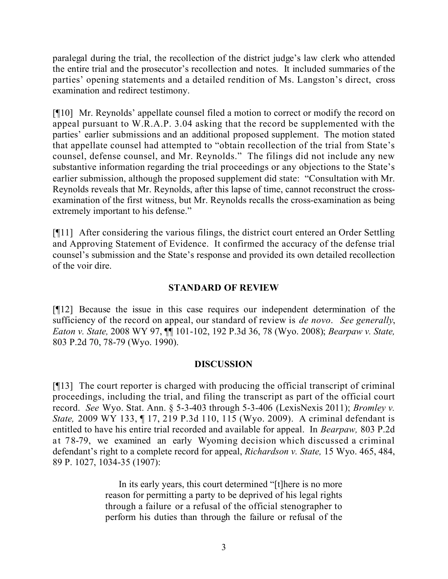paralegal during the trial, the recollection of the district judge's law clerk who attended the entire trial and the prosecutor's recollection and notes. It included summaries of the parties' opening statements and a detailed rendition of Ms. Langston's direct, cross examination and redirect testimony.

[¶10] Mr. Reynolds' appellate counsel filed a motion to correct or modify the record on appeal pursuant to W.R.A.P. 3.04 asking that the record be supplemented with the parties' earlier submissions and an additional proposed supplement. The motion stated that appellate counsel had attempted to "obtain recollection of the trial from State's counsel, defense counsel, and Mr. Reynolds." The filings did not include any new substantive information regarding the trial proceedings or any objections to the State's earlier submission, although the proposed supplement did state: "Consultation with Mr. Reynolds reveals that Mr. Reynolds, after this lapse of time, cannot reconstruct the crossexamination of the first witness, but Mr. Reynolds recalls the cross-examination as being extremely important to his defense."

[¶11] After considering the various filings, the district court entered an Order Settling and Approving Statement of Evidence. It confirmed the accuracy of the defense trial counsel's submission and the State's response and provided its own detailed recollection of the voir dire.

# **STANDARD OF REVIEW**

[¶12] Because the issue in this case requires our independent determination of the sufficiency of the record on appeal, our standard of review is *de novo*. *See generally*, *Eaton v. State,* 2008 WY 97, ¶¶ 101-102, 192 P.3d 36, 78 (Wyo. 2008); *Bearpaw v. State,*  803 P.2d 70, 78-79 (Wyo. 1990).

# **DISCUSSION**

[¶13] The court reporter is charged with producing the official transcript of criminal proceedings, including the trial, and filing the transcript as part of the official court record. *See* Wyo. Stat. Ann. § 5-3-403 through 5-3-406 (LexisNexis 2011); *Bromley v. State,* 2009 WY 133, ¶ 17, 219 P.3d 110, 115 (Wyo. 2009). A criminal defendant is entitled to have his entire trial recorded and available for appeal. In *Bearpaw,* 803 P.2d at 78-79, we examined an early Wyoming decision which discussed a criminal defendant's right to a complete record for appeal, *Richardson v. State,* 15 Wyo. 465, 484, 89 P. 1027, 1034-35 (1907):

> In its early years, this court determined "[t]here is no more reason for permitting a party to be deprived of his legal rights through a failure or a refusal of the official stenographer to perform his duties than through the failure or refusal of the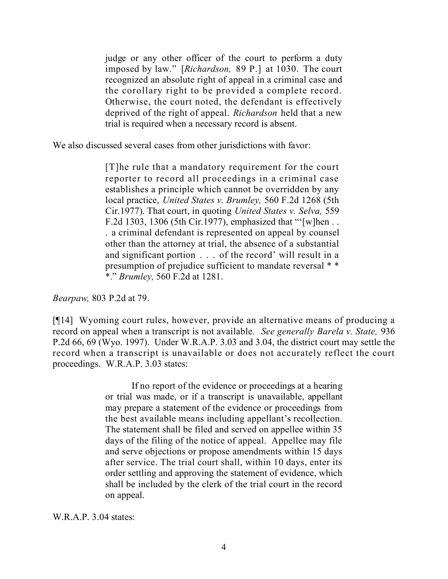judge or any other officer of the court to perform a duty imposed by law." [*Richardson,* 89 P.] at 1030. The court recognized an absolute right of appeal in a criminal case and the corollary right to be provided a complete record. Otherwise, the court noted, the defendant is effectively deprived of the right of appeal. *Richardson* held that a new trial is required when a necessary record is absent.

We also discussed several cases from other jurisdictions with favor:

[T]he rule that a mandatory requirement for the court reporter to record all proceedings in a criminal case establishes a principle which cannot be overridden by any local practice, *United States v. Brumley,* 560 F.2d 1268 (5th Cir.1977). That court, in quoting *United States v. Selva,* 559 F.2d 1303, 1306 (5th Cir.1977), emphasized that "'[w]hen . . . a criminal defendant is represented on appeal by counsel other than the attorney at trial, the absence of a substantial and significant portion . . . of the record' will result in a presumption of prejudice sufficient to mandate reversal \* \* \*." *Brumley,* 560 F.2d at 1281.

*Bearpaw,* 803 P.2d at 79.

[¶14] Wyoming court rules, however, provide an alternative means of producing a record on appeal when a transcript is not available. *See generally Barela v. State,* 936 P.2d 66, 69 (Wyo. 1997). Under W.R.A.P. 3.03 and 3.04, the district court may settle the record when a transcript is unavailable or does not accurately reflect the court proceedings. W.R.A.P. 3.03 states:

> If no report of the evidence or proceedings at a hearing or trial was made, or if a transcript is unavailable, appellant may prepare a statement of the evidence or proceedings from the best available means including appellant's recollection. The statement shall be filed and served on appellee within 35 days of the filing of the notice of appeal. Appellee may file and serve objections or propose amendments within 15 days after service. The trial court shall, within 10 days, enter its order settling and approving the statement of evidence, which shall be included by the clerk of the trial court in the record on appeal.

W.R.A.P. 3.04 states: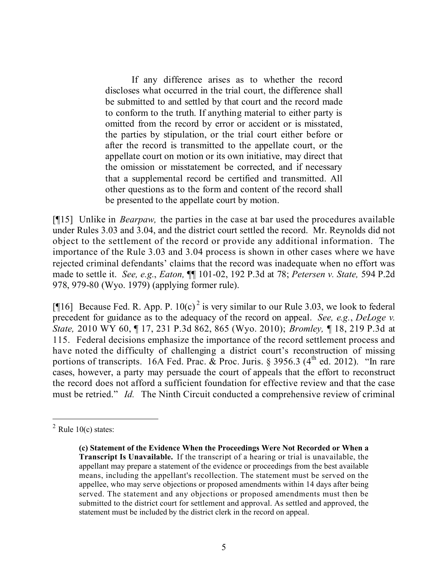If any difference arises as to whether the record discloses what occurred in the trial court, the difference shall be submitted to and settled by that court and the record made to conform to the truth. If anything material to either party is omitted from the record by error or accident or is misstated, the parties by stipulation, or the trial court either before or after the record is transmitted to the appellate court, or the appellate court on motion or its own initiative, may direct that the omission or misstatement be corrected, and if necessary that a supplemental record be certified and transmitted. All other questions as to the form and content of the record shall be presented to the appellate court by motion.

[¶15] Unlike in *Bearpaw,* the parties in the case at bar used the procedures available under Rules 3.03 and 3.04, and the district court settled the record. Mr. Reynolds did not object to the settlement of the record or provide any additional information. The importance of the Rule 3.03 and 3.04 process is shown in other cases where we have rejected criminal defendants' claims that the record was inadequate when no effort was made to settle it. *See, e.g.*, *Eaton,* ¶¶ 101-02, 192 P.3d at 78; *Petersen v. State,* 594 P.2d 978, 979-80 (Wyo. 1979) (applying former rule).

[¶16] Because Fed. R. App. P.  $10(c)^2$  is very similar to our Rule 3.03, we look to federal precedent for guidance as to the adequacy of the record on appeal. *See, e.g.*, *DeLoge v. State,* 2010 WY 60, ¶ 17, 231 P.3d 862, 865 (Wyo. 2010); *Bromley,* ¶ 18, 219 P.3d at 115. Federal decisions emphasize the importance of the record settlement process and have noted the difficulty of challenging a district court's reconstruction of missing portions of transcripts. 16A Fed. Prac. & Proc. Juris. § 3956.3 (4<sup>th</sup> ed. 2012). "In rare cases, however, a party may persuade the court of appeals that the effort to reconstruct the record does not afford a sufficient foundation for effective review and that the case must be retried." *Id.* The Ninth Circuit conducted a comprehensive review of criminal

 $\overline{a}$ 

 $2$  Rule 10(c) states:

**<sup>(</sup>c) Statement of the Evidence When the Proceedings Were Not Recorded or When a Transcript Is Unavailable.** If the transcript of a hearing or trial is unavailable, the appellant may prepare a statement of the evidence or proceedings from the best available means, including the appellant's recollection. The statement must be served on the appellee, who may serve objections or proposed amendments within 14 days after being served. The statement and any objections or proposed amendments must then be submitted to the district court for settlement and approval. As settled and approved, the statement must be included by the district clerk in the record on appeal.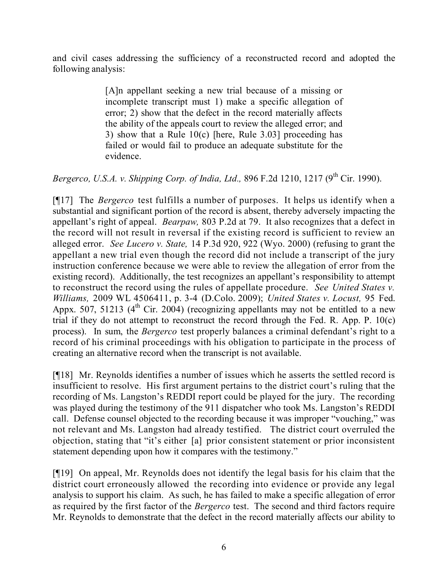and civil cases addressing the sufficiency of a reconstructed record and adopted the following analysis:

> [A]n appellant seeking a new trial because of a missing or incomplete transcript must 1) make a specific allegation of error; 2) show that the defect in the record materially affects the ability of the appeals court to review the alleged error; and 3) show that a Rule 10(c) [here, Rule 3.03] proceeding has failed or would fail to produce an adequate substitute for the evidence.

*Bergerco, U.S.A. v. Shipping Corp. of India, Ltd.,* 896 F.2d 1210, 1217 (9 th Cir. 1990).

[¶17] The *Bergerco* test fulfills a number of purposes. It helps us identify when a substantial and significant portion of the record is absent, thereby adversely impacting the appellant's right of appeal. *Bearpaw,* 803 P.2d at 79. It also recognizes that a defect in the record will not result in reversal if the existing record is sufficient to review an alleged error. *See Lucero v. State,* 14 P.3d 920, 922 (Wyo. 2000) (refusing to grant the appellant a new trial even though the record did not include a transcript of the jury instruction conference because we were able to review the allegation of error from the existing record). Additionally, the test recognizes an appellant's responsibility to attempt to reconstruct the record using the rules of appellate procedure. *See United States v. Williams,* 2009 WL 4506411, p. 3-4 (D.Colo. 2009); *United States v. Locust,* 95 Fed. Appx. 507, 51213 ( $4<sup>th</sup>$  Cir. 2004) (recognizing appellants may not be entitled to a new trial if they do not attempt to reconstruct the record through the Fed. R. App. P. 10(c) process). In sum, the *Bergerco* test properly balances a criminal defendant's right to a record of his criminal proceedings with his obligation to participate in the process of creating an alternative record when the transcript is not available.

[¶18] Mr. Reynolds identifies a number of issues which he asserts the settled record is insufficient to resolve. His first argument pertains to the district court's ruling that the recording of Ms. Langston's REDDI report could be played for the jury. The recording was played during the testimony of the 911 dispatcher who took Ms. Langston's REDDI call. Defense counsel objected to the recording because it was improper "vouching," was not relevant and Ms. Langston had already testified. The district court overruled the objection, stating that "it's either [a] prior consistent statement or prior inconsistent statement depending upon how it compares with the testimony."

[¶19] On appeal, Mr. Reynolds does not identify the legal basis for his claim that the district court erroneously allowed the recording into evidence or provide any legal analysis to support his claim. As such, he has failed to make a specific allegation of error as required by the first factor of the *Bergerco* test. The second and third factors require Mr. Reynolds to demonstrate that the defect in the record materially affects our ability to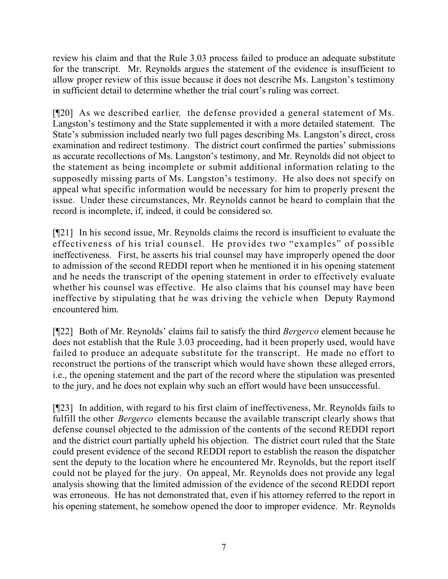review his claim and that the Rule 3.03 process failed to produce an adequate substitute for the transcript. Mr. Reynolds argues the statement of the evidence is insufficient to allow proper review of this issue because it does not describe Ms. Langston's testimony in sufficient detail to determine whether the trial court's ruling was correct.

[¶20] As we described earlier*,* the defense provided a general statement of Ms. Langston's testimony and the State supplemented it with a more detailed statement. The State's submission included nearly two full pages describing Ms. Langston's direct, cross examination and redirect testimony. The district court confirmed the parties' submissions as accurate recollections of Ms. Langston's testimony, and Mr. Reynolds did not object to the statement as being incomplete or submit additional information relating to the supposedly missing parts of Ms. Langston's testimony. He also does not specify on appeal what specific information would be necessary for him to properly present the issue. Under these circumstances, Mr. Reynolds cannot be heard to complain that the record is incomplete, if, indeed, it could be considered so.

[¶21] In his second issue, Mr. Reynolds claims the record is insufficient to evaluate the effectiveness of his trial counsel. He provides two "examples" of possible ineffectiveness. First, he asserts his trial counsel may have improperly opened the door to admission of the second REDDI report when he mentioned it in his opening statement and he needs the transcript of the opening statement in order to effectively evaluate whether his counsel was effective. He also claims that his counsel may have been ineffective by stipulating that he was driving the vehicle when Deputy Raymond encountered him.

[¶22] Both of Mr. Reynolds' claims fail to satisfy the third *Bergerco* element because he does not establish that the Rule 3.03 proceeding, had it been properly used, would have failed to produce an adequate substitute for the transcript. He made no effort to reconstruct the portions of the transcript which would have shown these alleged errors, i.e., the opening statement and the part of the record where the stipulation was presented to the jury, and he does not explain why such an effort would have been unsuccessful.

[¶23] In addition, with regard to his first claim of ineffectiveness, Mr. Reynolds fails to fulfill the other *Bergerco* elements because the available transcript clearly shows that defense counsel objected to the admission of the contents of the second REDDI report and the district court partially upheld his objection. The district court ruled that the State could present evidence of the second REDDI report to establish the reason the dispatcher sent the deputy to the location where he encountered Mr. Reynolds, but the report itself could not be played for the jury. On appeal, Mr. Reynolds does not provide any legal analysis showing that the limited admission of the evidence of the second REDDI report was erroneous. He has not demonstrated that, even if his attorney referred to the report in his opening statement, he somehow opened the door to improper evidence. Mr. Reynolds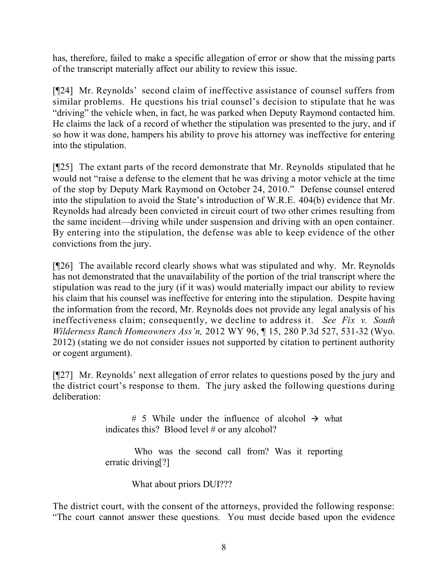has, therefore, failed to make a specific allegation of error or show that the missing parts of the transcript materially affect our ability to review this issue.

[¶24] Mr. Reynolds' second claim of ineffective assistance of counsel suffers from similar problems. He questions his trial counsel's decision to stipulate that he was "driving" the vehicle when, in fact, he was parked when Deputy Raymond contacted him. He claims the lack of a record of whether the stipulation was presented to the jury, and if so how it was done, hampers his ability to prove his attorney was ineffective for entering into the stipulation.

[¶25] The extant parts of the record demonstrate that Mr. Reynolds stipulated that he would not "raise a defense to the element that he was driving a motor vehicle at the time of the stop by Deputy Mark Raymond on October 24, 2010." Defense counsel entered into the stipulation to avoid the State's introduction of W.R.E. 404(b) evidence that Mr. Reynolds had already been convicted in circuit court of two other crimes resulting from the same incident—driving while under suspension and driving with an open container. By entering into the stipulation, the defense was able to keep evidence of the other convictions from the jury.

[¶26] The available record clearly shows what was stipulated and why. Mr. Reynolds has not demonstrated that the unavailability of the portion of the trial transcript where the stipulation was read to the jury (if it was) would materially impact our ability to review his claim that his counsel was ineffective for entering into the stipulation. Despite having the information from the record, Mr. Reynolds does not provide any legal analysis of his ineffectiveness claim; consequently, we decline to address it. *See Fix v. South Wilderness Ranch Homeowners Ass'n,* 2012 WY 96, ¶ 15, 280 P.3d 527, 531-32 (Wyo. 2012) (stating we do not consider issues not supported by citation to pertinent authority or cogent argument).

[¶27] Mr. Reynolds' next allegation of error relates to questions posed by the jury and the district court's response to them. The jury asked the following questions during deliberation:

> # 5 While under the influence of alcohol  $\rightarrow$  what indicates this? Blood level # or any alcohol?

> Who was the second call from? Was it reporting erratic driving<sup>[?]</sup>

> > What about priors DUI???

The district court, with the consent of the attorneys, provided the following response: "The court cannot answer these questions. You must decide based upon the evidence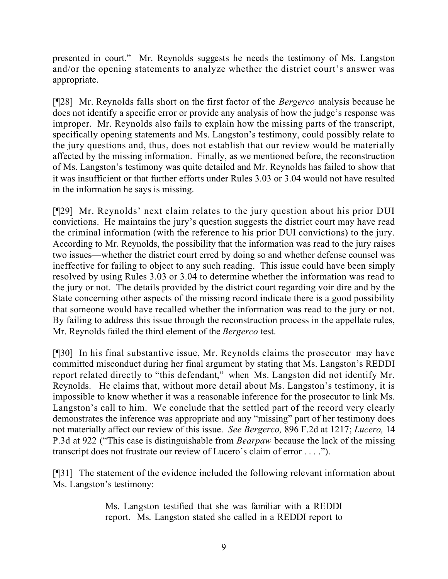presented in court." Mr. Reynolds suggests he needs the testimony of Ms. Langston and/or the opening statements to analyze whether the district court's answer was appropriate.

[¶28] Mr. Reynolds falls short on the first factor of the *Bergerco* analysis because he does not identify a specific error or provide any analysis of how the judge's response was improper. Mr. Reynolds also fails to explain how the missing parts of the transcript, specifically opening statements and Ms. Langston's testimony, could possibly relate to the jury questions and, thus, does not establish that our review would be materially affected by the missing information. Finally, as we mentioned before, the reconstruction of Ms. Langston's testimony was quite detailed and Mr. Reynolds has failed to show that it was insufficient or that further efforts under Rules 3.03 or 3.04 would not have resulted in the information he says is missing.

[¶29] Mr. Reynolds' next claim relates to the jury question about his prior DUI convictions. He maintains the jury's question suggests the district court may have read the criminal information (with the reference to his prior DUI convictions) to the jury. According to Mr. Reynolds, the possibility that the information was read to the jury raises two issues—whether the district court erred by doing so and whether defense counsel was ineffective for failing to object to any such reading. This issue could have been simply resolved by using Rules 3.03 or 3.04 to determine whether the information was read to the jury or not. The details provided by the district court regarding voir dire and by the State concerning other aspects of the missing record indicate there is a good possibility that someone would have recalled whether the information was read to the jury or not. By failing to address this issue through the reconstruction process in the appellate rules, Mr. Reynolds failed the third element of the *Bergerco* test.

[¶30] In his final substantive issue, Mr. Reynolds claims the prosecutor may have committed misconduct during her final argument by stating that Ms. Langston's REDDI report related directly to "this defendant," when Ms. Langston did not identify Mr. Reynolds. He claims that, without more detail about Ms. Langston's testimony, it is impossible to know whether it was a reasonable inference for the prosecutor to link Ms. Langston's call to him. We conclude that the settled part of the record very clearly demonstrates the inference was appropriate and any "missing" part of her testimony does not materially affect our review of this issue. *See Bergerco,* 896 F.2d at 1217; *Lucero,* 14 P.3d at 922 ("This case is distinguishable from *Bearpaw* because the lack of the missing transcript does not frustrate our review of Lucero's claim of error . . . .").

[¶31] The statement of the evidence included the following relevant information about Ms. Langston's testimony:

> Ms. Langston testified that she was familiar with a REDDI report. Ms. Langston stated she called in a REDDI report to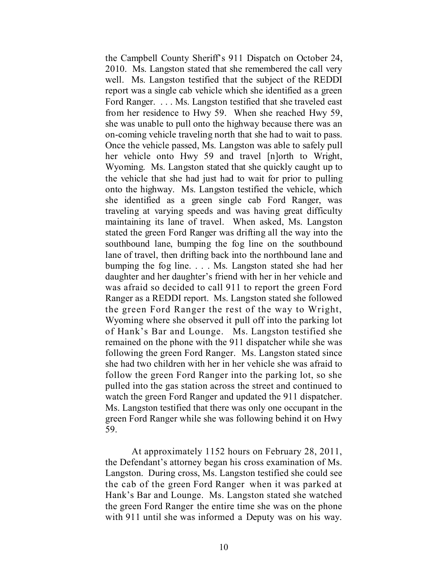the Campbell County Sheriff's 911 Dispatch on October 24, 2010. Ms. Langston stated that she remembered the call very well. Ms. Langston testified that the subject of the REDDI report was a single cab vehicle which she identified as a green Ford Ranger. . . . Ms. Langston testified that she traveled east from her residence to Hwy 59. When she reached Hwy 59, she was unable to pull onto the highway because there was an on-coming vehicle traveling north that she had to wait to pass. Once the vehicle passed, Ms. Langston was able to safely pull her vehicle onto Hwy 59 and travel [n]orth to Wright, Wyoming. Ms. Langston stated that she quickly caught up to the vehicle that she had just had to wait for prior to pulling onto the highway. Ms. Langston testified the vehicle, which she identified as a green single cab Ford Ranger, was traveling at varying speeds and was having great difficulty maintaining its lane of travel. When asked, Ms. Langston stated the green Ford Ranger was drifting all the way into the southbound lane, bumping the fog line on the southbound lane of travel, then drifting back into the northbound lane and bumping the fog line. . . . Ms. Langston stated she had her daughter and her daughter's friend with her in her vehicle and was afraid so decided to call 911 to report the green Ford Ranger as a REDDI report. Ms. Langston stated she followed the green Ford Ranger the rest of the way to Wright, Wyoming where she observed it pull off into the parking lot of Hank's Bar and Lounge. Ms. Langston testified she remained on the phone with the 911 dispatcher while she was following the green Ford Ranger. Ms. Langston stated since she had two children with her in her vehicle she was afraid to follow the green Ford Ranger into the parking lot, so she pulled into the gas station across the street and continued to watch the green Ford Ranger and updated the 911 dispatcher. Ms. Langston testified that there was only one occupant in the green Ford Ranger while she was following behind it on Hwy 59.

At approximately 1152 hours on February 28, 2011, the Defendant's attorney began his cross examination of Ms. Langston. During cross, Ms. Langston testified she could see the cab of the green Ford Ranger when it was parked at Hank's Bar and Lounge. Ms. Langston stated she watched the green Ford Ranger the entire time she was on the phone with 911 until she was informed a Deputy was on his way.